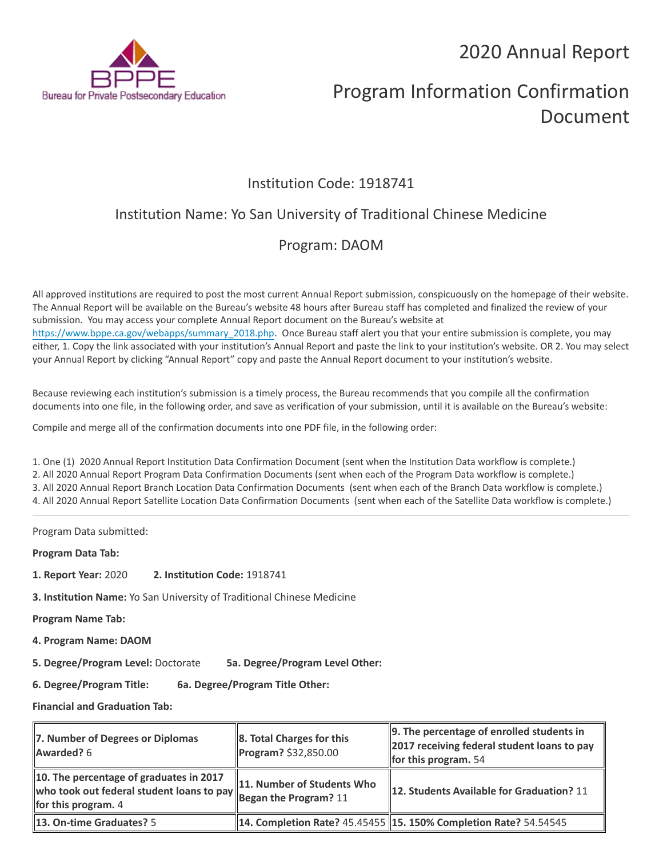2020 Annual Report



# Program Information Confirmation Document

## Institution Code: 1918741

# Institution Name: Yo San University of Traditional Chinese Medicine

# Program: DAOM

All approved institutions are required to post the most current Annual Report submission, conspicuously on the homepage of their website. The Annual Report will be available on the Bureau's website 48 hours after Bureau staff has completed and finalized the review of your submission. You may access your complete Annual Report document on the Bureau's website at [https://www.bppe.ca.gov/webapps/summary\\_2018.php.](https://www.bppe.ca.gov/webapps/summary_2018.php) Once Bureau staff alert you that your entire submission is complete, you may either, 1. Copy the link associated with your institution's Annual Report and paste the link to your institution's website. OR 2. You may select your Annual Report by clicking "Annual Report" copy and paste the Annual Report document to your institution's website.

Because reviewing each institution's submission is a timely process, the Bureau recommends that you compile all the confirmation documents into one file, in the following order, and save as verification of your submission, until it is available on the Bureau's website:

Compile and merge all of the confirmation documents into one PDF file, in the following order:

1. One (1) 2020 Annual Report Institution Data Confirmation Document (sent when the Institution Data workflow is complete.) 2. All 2020 Annual Report Program Data Confirmation Documents (sent when each of the Program Data workflow is complete.) 3. All 2020 Annual Report Branch Location Data Confirmation Documents (sent when each of the Branch Data workflow is complete.) 4. All 2020 Annual Report Satellite Location Data Confirmation Documents (sent when each of the Satellite Data workflow is complete.)

Program Data submitted:

**Program Data Tab:**

- **1. Report Year:** 2020 **2. Institution Code:** 1918741
- **3. Institution Name:** Yo San University of Traditional Chinese Medicine

**Program Name Tab:**

**4. Program Name: DAOM** 

**5. Degree/Program Level:** Doctorate **5a. Degree/Program Level Other:**

**6. Degree/Program Title: 6a. Degree/Program Title Other:**

**Financial and Graduation Tab:**

| 7. Number of Degrees or Diplomas<br>Awarded? 6                   | 8. Total Charges for this<br>Program? \$32,850.00 | 9. The percentage of enrolled students in<br>2017 receiving federal student loans to pay<br>for this program. $54$ |
|------------------------------------------------------------------|---------------------------------------------------|--------------------------------------------------------------------------------------------------------------------|
| 10. The percentage of graduates in 2017<br>for this program. $4$ | 11. Number of Students Who                        | 12. Students Available for Graduation? 11                                                                          |
| <b>13. On-time Graduates?</b> 5                                  |                                                   | 14. Completion Rate? 45.45455 15. 150% Completion Rate? 54.54545                                                   |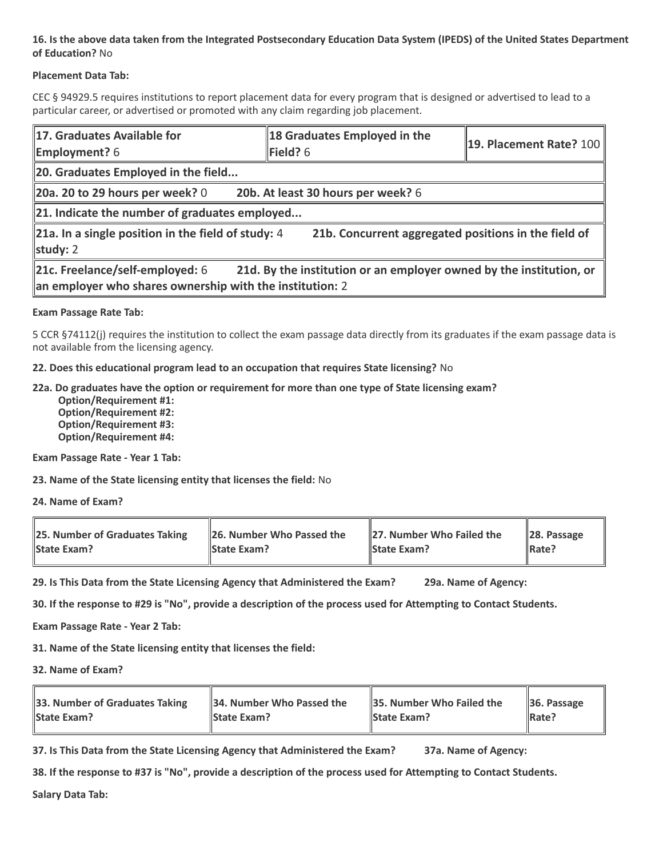### **16. Is the above data taken from the Integrated Postsecondary Education Data System (IPEDS) of the United States Department of Education?** No

### **Placement Data Tab:**

CEC § 94929.5 requires institutions to report placement data for every program that is designed or advertised to lead to a particular career, or advertised or promoted with any claim regarding job placement.

| 17. Graduates Available for<br><b>Employment?</b> 6                                                                                                                | 18 Graduates Employed in the<br>Field? $6$ | 19. Placement Rate? 100 |  |  |
|--------------------------------------------------------------------------------------------------------------------------------------------------------------------|--------------------------------------------|-------------------------|--|--|
| 20. Graduates Employed in the field                                                                                                                                |                                            |                         |  |  |
| 20a. 20 to 29 hours per week? $0$                                                                                                                                  | 20b. At least 30 hours per week? 6         |                         |  |  |
| 21. Indicate the number of graduates employed                                                                                                                      |                                            |                         |  |  |
| 21a. In a single position in the field of study: $4$<br>21b. Concurrent aggregated positions in the field of<br>study: $2$                                         |                                            |                         |  |  |
| 21c. Freelance/self-employed: 6<br>21d. By the institution or an employer owned by the institution, or<br>an employer who shares ownership with the institution: 2 |                                            |                         |  |  |

### **Exam Passage Rate Tab:**

5 CCR §74112(j) requires the institution to collect the exam passage data directly from its graduates if the exam passage data is not available from the licensing agency.

**22. Does this educational program lead to an occupation that requires State licensing?** No

### **22a. Do graduates have the option or requirement for more than one type of State licensing exam?**

 **Option/Requirement #1: Option/Requirement #2: Option/Requirement #3: Option/Requirement #4:**

**Exam Passage Rate - Year 1 Tab:**

**23. Name of the State licensing entity that licenses the field:** No

**24. Name of Exam?**

| 25. Number of Graduates Taking | 26. Number Who Passed the | 27. Number Who Failed the | $\ $ 28. Passage |
|--------------------------------|---------------------------|---------------------------|------------------|
| <b>State Exam?</b>             | <b>State Exam?</b>        | <b>State Exam?</b>        | Rate?            |

**29. Is This Data from the State Licensing Agency that Administered the Exam? 29a. Name of Agency:**

**30. If the response to #29 is "No", provide a description of the process used for Attempting to Contact Students.**

**Exam Passage Rate - Year 2 Tab:**

**31. Name of the State licensing entity that licenses the field:**

**32. Name of Exam?**

| 33. Number of Graduates Taking | 34. Number Who Passed the | <b>35. Number Who Failed the</b> | $\parallel$ 36. Passage |
|--------------------------------|---------------------------|----------------------------------|-------------------------|
| <b>State Exam?</b>             | <b>State Exam?</b>        | <b>State Exam?</b>               | $\parallel$ Rate?       |

**37. Is This Data from the State Licensing Agency that Administered the Exam? 37a. Name of Agency:**

**38. If the response to #37 is "No", provide a description of the process used for Attempting to Contact Students.** 

**Salary Data Tab:**